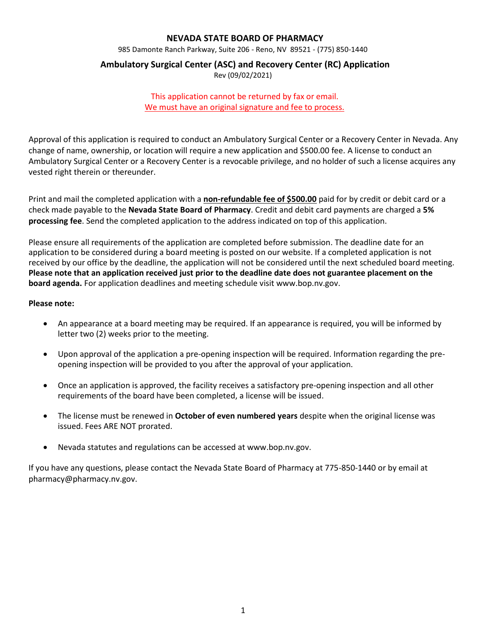# **NEVADA STATE BOARD OF PHARMACY**

985 Damonte Ranch Parkway, Suite 206 - Reno, NV 89521 - (775) 850-1440

# **Ambulatory Surgical Center (ASC) and Recovery Center (RC) Application**

Rev (09/02/2021)

# This application cannot be returned by fax or email. We must have an original signature and fee to process.

Approval of this application is required to conduct an Ambulatory Surgical Center or a Recovery Center in Nevada. Any change of name, ownership, or location will require a new application and \$500.00 fee. A license to conduct an Ambulatory Surgical Center or a Recovery Center is a revocable privilege, and no holder of such a license acquires any vested right therein or thereunder.

Print and mail the completed application with a **non-refundable fee of \$500.00** paid for by credit or debit card or a check made payable to the **Nevada State Board of Pharmacy**. Credit and debit card payments are charged a **5% processing fee**. Send the completed application to the address indicated on top of this application.

Please ensure all requirements of the application are completed before submission. The deadline date for an application to be considered during a board meeting is posted on our website. If a completed application is not received by our office by the deadline, the application will not be considered until the next scheduled board meeting. **Please note that an application received just prior to the deadline date does not guarantee placement on the board agenda.** For application deadlines and meeting schedule visit www.bop.nv.gov.

#### **Please note:**

- An appearance at a board meeting may be required. If an appearance is required, you will be informed by letter two (2) weeks prior to the meeting.
- Upon approval of the application a pre-opening inspection will be required. Information regarding the preopening inspection will be provided to you after the approval of your application.
- Once an application is approved, the facility receives a satisfactory pre-opening inspection and all other requirements of the board have been completed, a license will be issued.
- The license must be renewed in **October of even numbered years** despite when the original license was issued. Fees ARE NOT prorated.
- Nevada statutes and regulations can be accessed at www.bop.nv.gov.

If you have any questions, please contact the Nevada State Board of Pharmacy at 775-850-1440 or by email at pharmacy@pharmacy.nv.gov.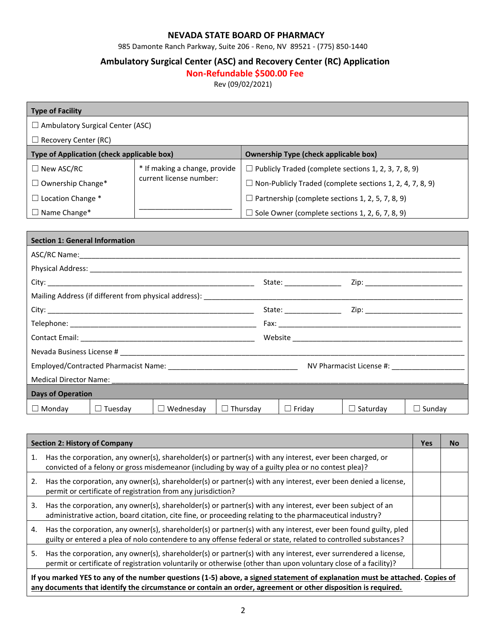# **NEVADA STATE BOARD OF PHARMACY**

985 Damonte Ranch Parkway, Suite 206 - Reno, NV 89521 - (775) 850-1440

# **Ambulatory Surgical Center (ASC) and Recovery Center (RC) Application**

# **Non-Refundable \$500.00 Fee**

Rev (09/02/2021)

| <b>Type of Facility</b>                                                                    |                               |                                                                 |  |  |  |
|--------------------------------------------------------------------------------------------|-------------------------------|-----------------------------------------------------------------|--|--|--|
| $\Box$ Ambulatory Surgical Center (ASC)                                                    |                               |                                                                 |  |  |  |
| $\Box$ Recovery Center (RC)                                                                |                               |                                                                 |  |  |  |
| Type of Application (check applicable box)<br><b>Ownership Type (check applicable box)</b> |                               |                                                                 |  |  |  |
| $\Box$ New ASC/RC                                                                          | * If making a change, provide | $\Box$ Publicly Traded (complete sections 1, 2, 3, 7, 8, 9)     |  |  |  |
| $\Box$ Ownership Change*                                                                   | current license number:       | $\Box$ Non-Publicly Traded (complete sections 1, 2, 4, 7, 8, 9) |  |  |  |
| Location Change *<br>$\perp$                                                               |                               | $\Box$ Partnership (complete sections 1, 2, 5, 7, 8, 9)         |  |  |  |
| Name Change*<br>ш                                                                          |                               | $\exists$ Sole Owner (complete sections 1, 2, 6, 7, 8, 9)       |  |  |  |

| <b>Section 1: General Information</b> |                |                  |                 |                         |                 |               |  |
|---------------------------------------|----------------|------------------|-----------------|-------------------------|-----------------|---------------|--|
|                                       |                |                  |                 |                         |                 |               |  |
|                                       |                |                  |                 |                         |                 |               |  |
|                                       |                |                  |                 | State: ________________ |                 |               |  |
|                                       |                |                  |                 |                         |                 |               |  |
|                                       |                |                  |                 |                         |                 |               |  |
|                                       |                |                  |                 |                         |                 |               |  |
|                                       |                |                  |                 |                         |                 |               |  |
|                                       |                |                  |                 |                         |                 |               |  |
|                                       |                |                  |                 |                         |                 |               |  |
|                                       |                |                  |                 |                         |                 |               |  |
| <b>Days of Operation</b>              |                |                  |                 |                         |                 |               |  |
| $\Box$ Monday                         | $\Box$ Tuesday | $\Box$ Wednesday | $\Box$ Thursday | $\Box$ Friday           | $\Box$ Saturday | $\Box$ Sunday |  |

|    | <b>Section 2: History of Company</b>                                                                                                                                                                                                         | <b>Yes</b> | <b>No</b> |  |  |  |
|----|----------------------------------------------------------------------------------------------------------------------------------------------------------------------------------------------------------------------------------------------|------------|-----------|--|--|--|
| 1. | Has the corporation, any owner(s), shareholder(s) or partner(s) with any interest, ever been charged, or<br>convicted of a felony or gross misdemeanor (including by way of a guilty plea or no contest plea)?                               |            |           |  |  |  |
| 2. | Has the corporation, any owner(s), shareholder(s) or partner(s) with any interest, ever been denied a license,<br>permit or certificate of registration from any jurisdiction?                                                               |            |           |  |  |  |
| 3. | Has the corporation, any owner(s), shareholder(s) or partner(s) with any interest, ever been subject of an<br>administrative action, board citation, cite fine, or proceeding relating to the pharmaceutical industry?                       |            |           |  |  |  |
| 4. | Has the corporation, any owner(s), shareholder(s) or partner(s) with any interest, ever been found guilty, pled<br>guilty or entered a plea of nolo contendere to any offense federal or state, related to controlled substances?            |            |           |  |  |  |
| 5. | Has the corporation, any owner(s), shareholder(s) or partner(s) with any interest, ever surrendered a license,<br>permit or certificate of registration voluntarily or otherwise (other than upon voluntary close of a facility)?            |            |           |  |  |  |
|    | If you marked YES to any of the number questions (1-5) above, a signed statement of explanation must be attached. Copies of<br>any documents that identify the circumstance or contain an order, agreement or other disposition is required. |            |           |  |  |  |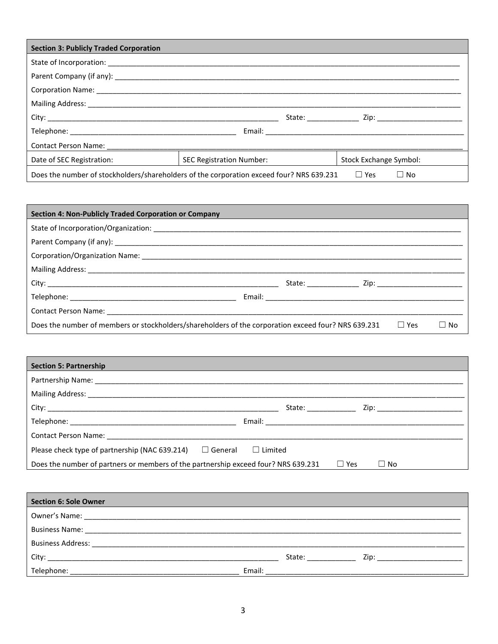| <b>Section 3: Publicly Traded Corporation</b>                                                                       |                          |                        |  |  |  |
|---------------------------------------------------------------------------------------------------------------------|--------------------------|------------------------|--|--|--|
|                                                                                                                     |                          |                        |  |  |  |
|                                                                                                                     |                          |                        |  |  |  |
|                                                                                                                     |                          |                        |  |  |  |
|                                                                                                                     |                          |                        |  |  |  |
|                                                                                                                     |                          |                        |  |  |  |
|                                                                                                                     |                          |                        |  |  |  |
|                                                                                                                     |                          |                        |  |  |  |
| Date of SEC Registration:                                                                                           | SEC Registration Number: | Stock Exchange Symbol: |  |  |  |
| Does the number of stockholders/shareholders of the corporation exceed four? NRS 639.231<br>$\Box$ Yes<br>$\Box$ No |                          |                        |  |  |  |

| <b>Section 4: Non-Publicly Traded Corporation or Company</b>                                        |  |            |      |
|-----------------------------------------------------------------------------------------------------|--|------------|------|
|                                                                                                     |  |            |      |
|                                                                                                     |  |            |      |
|                                                                                                     |  |            |      |
|                                                                                                     |  |            |      |
|                                                                                                     |  |            |      |
|                                                                                                     |  |            |      |
|                                                                                                     |  |            |      |
| Does the number of members or stockholders/shareholders of the corporation exceed four? NRS 639.231 |  | $\Box$ Yes | - No |

| <b>Section 5: Partnership</b>                                                      |                        |
|------------------------------------------------------------------------------------|------------------------|
|                                                                                    |                        |
|                                                                                    |                        |
|                                                                                    | State: _______________ |
|                                                                                    |                        |
|                                                                                    |                        |
| Please check type of partnership (NAC 639.214)<br>$\Box$ General                   | $\Box$ Limited         |
| Does the number of partners or members of the partnership exceed four? NRS 639.231 | $\Box$ Yes<br>∣No      |

| Section 6: Sole Owner                                                  |                                                                                                                                                                                                                                                                                                                                                                                                                                                                  |
|------------------------------------------------------------------------|------------------------------------------------------------------------------------------------------------------------------------------------------------------------------------------------------------------------------------------------------------------------------------------------------------------------------------------------------------------------------------------------------------------------------------------------------------------|
|                                                                        |                                                                                                                                                                                                                                                                                                                                                                                                                                                                  |
|                                                                        |                                                                                                                                                                                                                                                                                                                                                                                                                                                                  |
| <b>Business Address:</b><br><u> 1980 - Jan Samuel Samuel (b. 1980)</u> |                                                                                                                                                                                                                                                                                                                                                                                                                                                                  |
| City:<br><u> 1980 - John Stone, Amerikaansk politiker (</u> † 1920)    | State: the state of the state of the state of the state of the state of the state of the state of the state of the state of the state of the state of the state of the state of the state of the state of the state of the sta<br>Zip: the contract of the contract of the contract of the contract of the contract of the contract of the contract of the contract of the contract of the contract of the contract of the contract of the contract of the contr |
| Telephone:                                                             | Email:                                                                                                                                                                                                                                                                                                                                                                                                                                                           |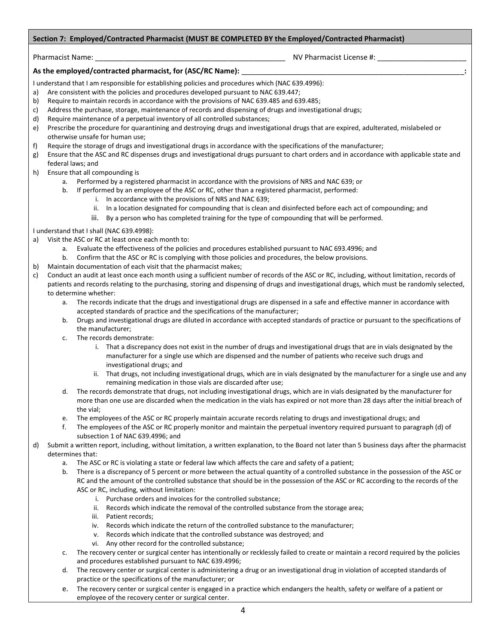#### **Section 7: Employed/Contracted Pharmacist (MUST BE COMPLETED BY the Employed/Contracted Pharmacist)**

Pharmacist Name: \_\_\_\_\_\_\_\_\_\_\_\_\_\_\_\_\_\_\_\_\_\_\_\_\_\_\_\_\_\_\_\_\_\_\_\_\_\_\_\_\_\_\_\_\_\_\_ NV Pharmacist License #: \_\_\_\_\_\_\_\_\_\_\_\_\_\_\_\_\_\_\_\_\_\_

#### As the employed/contracted pharmacist, for (ASC/RC Name): \_

I understand that I am responsible for establishing policies and procedures which (NAC 639.4996):

- a) Are consistent with the policies and procedures developed pursuant to NAC 639.447;
- b) Require to maintain records in accordance with the provisions of NAC 639.485 and 639.485;
- c) Address the purchase, storage, maintenance of records and dispensing of drugs and investigational drugs;
- d) Require maintenance of a perpetual inventory of all controlled substances;
- e) Prescribe the procedure for quarantining and destroying drugs and investigational drugs that are expired, adulterated, mislabeled or otherwise unsafe for human use;
- f) Require the storage of drugs and investigational drugs in accordance with the specifications of the manufacturer;
- g) Ensure that the ASC and RC dispenses drugs and investigational drugs pursuant to chart orders and in accordance with applicable state and federal laws; and
- h) Ensure that all compounding is
	- a. Performed by a registered pharmacist in accordance with the provisions of NRS and NAC 639; or
	- b. If performed by an employee of the ASC or RC, other than a registered pharmacist, performed:
		- i. In accordance with the provisions of NRS and NAC 639;
		- ii. In a location designated for compounding that is clean and disinfected before each act of compounding; and
		- iii. By a person who has completed training for the type of compounding that will be performed.

I understand that I shall (NAC 639.4998):

- a) Visit the ASC or RC at least once each month to:
	- a. Evaluate the effectiveness of the policies and procedures established pursuant to NAC 693.4996; and
	- b. Confirm that the ASC or RC is complying with those policies and procedures, the below provisions.
- b) Maintain documentation of each visit that the pharmacist makes;
- c) Conduct an audit at least once each month using a sufficient number of records of the ASC or RC, including, without limitation, records of patients and records relating to the purchasing, storing and dispensing of drugs and investigational drugs, which must be randomly selected, to determine whether:
	- a. The records indicate that the drugs and investigational drugs are dispensed in a safe and effective manner in accordance with accepted standards of practice and the specifications of the manufacturer;
	- b. Drugs and investigational drugs are diluted in accordance with accepted standards of practice or pursuant to the specifications of the manufacturer;
	- c. The records demonstrate:
		- i. That a discrepancy does not exist in the number of drugs and investigational drugs that are in vials designated by the manufacturer for a single use which are dispensed and the number of patients who receive such drugs and investigational drugs; and
		- ii. That drugs, not including investigational drugs, which are in vials designated by the manufacturer for a single use and any remaining medication in those vials are discarded after use;
	- d. The records demonstrate that drugs, not including investigational drugs, which are in vials designated by the manufacturer for more than one use are discarded when the medication in the vials has expired or not more than 28 days after the initial breach of the vial;
	- e. The employees of the ASC or RC properly maintain accurate records relating to drugs and investigational drugs; and
	- f. The employees of the ASC or RC properly monitor and maintain the perpetual inventory required pursuant to paragraph (d) of subsection 1 of NAC 639.4996; and
- d) Submit a written report, including, without limitation, a written explanation, to the Board not later than 5 business days after the pharmacist determines that:
	- a. The ASC or RC is violating a state or federal law which affects the care and safety of a patient;
	- There is a discrepancy of 5 percent or more between the actual quantity of a controlled substance in the possession of the ASC or RC and the amount of the controlled substance that should be in the possession of the ASC or RC according to the records of the ASC or RC, including, without limitation:
		- i. Purchase orders and invoices for the controlled substance;
		- ii. Records which indicate the removal of the controlled substance from the storage area;
		- iii. Patient records;
		- iv. Records which indicate the return of the controlled substance to the manufacturer;
		- v. Records which indicate that the controlled substance was destroyed; and
		- vi. Any other record for the controlled substance;
	- c. The recovery center or surgical center has intentionally or recklessly failed to create or maintain a record required by the policies and procedures established pursuant to NAC 639.4996;
	- d. The recovery center or surgical center is administering a drug or an investigational drug in violation of accepted standards of practice or the specifications of the manufacturer; or
	- e. The recovery center or surgical center is engaged in a practice which endangers the health, safety or welfare of a patient or employee of the recovery center or surgical center.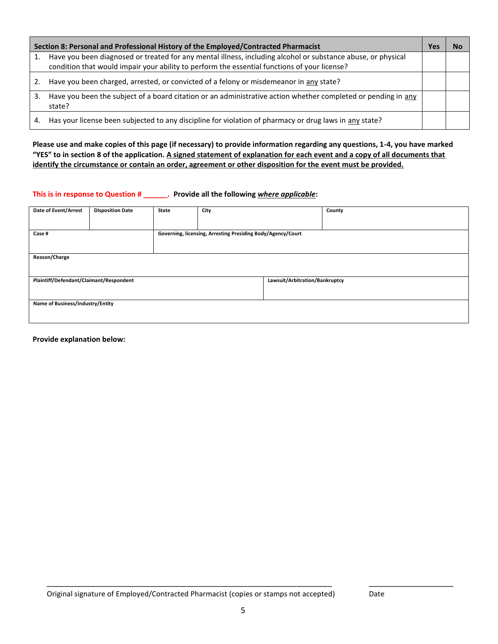|                | Section 8: Personal and Professional History of the Employed/Contracted Pharmacist                                                                                                                           | Yes |  |
|----------------|--------------------------------------------------------------------------------------------------------------------------------------------------------------------------------------------------------------|-----|--|
| $\mathbf{1}$ . | Have you been diagnosed or treated for any mental illness, including alcohol or substance abuse, or physical<br>condition that would impair your ability to perform the essential functions of your license? |     |  |
| 2.             | Have you been charged, arrested, or convicted of a felony or misdemeanor in any state?                                                                                                                       |     |  |
| 3.             | Have you been the subject of a board citation or an administrative action whether completed or pending in any<br>state?                                                                                      |     |  |
| 4.             | Has your license been subjected to any discipline for violation of pharmacy or drug laws in any state?                                                                                                       |     |  |

**Please use and make copies of this page (if necessary) to provide information regarding any questions, 1-4, you have marked "YES" to in section 8 of the application. A signed statement of explanation for each event and a copy of all documents that identify the circumstance or contain an order, agreement or other disposition for the event must be provided.**

# **This is in response to Question # \_\_\_\_\_\_. Provide all the following** *where applicable***:**

| Date of Event/Arrest                    | <b>Disposition Date</b> | <b>State</b> | City                                                        |                                | County |  |
|-----------------------------------------|-------------------------|--------------|-------------------------------------------------------------|--------------------------------|--------|--|
|                                         |                         |              |                                                             |                                |        |  |
| Case #                                  |                         |              | Governing, licensing, Arresting Presiding Body/Agency/Court |                                |        |  |
|                                         |                         |              |                                                             |                                |        |  |
| Reason/Charge                           |                         |              |                                                             |                                |        |  |
|                                         |                         |              |                                                             |                                |        |  |
| Plaintiff/Defendant/Claimant/Respondent |                         |              |                                                             | Lawsuit/Arbitration/Bankruptcy |        |  |
|                                         |                         |              |                                                             |                                |        |  |
| Name of Business/Industry/Entity        |                         |              |                                                             |                                |        |  |
|                                         |                         |              |                                                             |                                |        |  |
|                                         |                         |              |                                                             |                                |        |  |

#### **Provide explanation below:**

\_\_\_\_\_\_\_\_\_\_\_\_\_\_\_\_\_\_\_\_\_\_\_\_\_\_\_\_\_\_\_\_\_\_\_\_\_\_\_\_\_\_\_\_\_\_\_\_\_\_\_\_\_\_\_\_\_\_\_\_\_\_\_\_ \_\_\_\_\_\_\_\_\_\_\_\_\_\_\_\_\_\_\_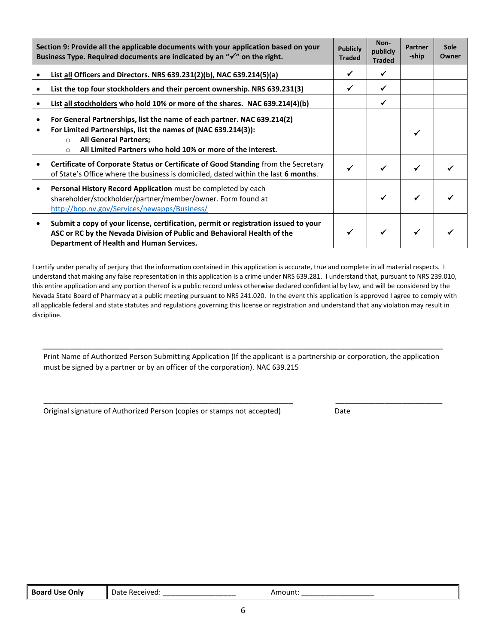| Section 9: Provide all the applicable documents with your application based on your<br>Business Type. Required documents are indicated by an " $\checkmark$ " on the right. |                                                                                                                                                                                                                                                               | <b>Publicly</b><br><b>Traded</b> | Non-<br>publicly<br><b>Traded</b> | <b>Partner</b><br>-ship | Sole<br>Owner |
|-----------------------------------------------------------------------------------------------------------------------------------------------------------------------------|---------------------------------------------------------------------------------------------------------------------------------------------------------------------------------------------------------------------------------------------------------------|----------------------------------|-----------------------------------|-------------------------|---------------|
|                                                                                                                                                                             | List all Officers and Directors. NRS 639.231(2)(b), NAC 639.214(5)(a)                                                                                                                                                                                         | ✔                                | ✔                                 |                         |               |
|                                                                                                                                                                             | List the top four stockholders and their percent ownership. NRS 639.231(3)                                                                                                                                                                                    | ✔                                | ✓                                 |                         |               |
|                                                                                                                                                                             | List all stockholders who hold 10% or more of the shares. NAC 639.214(4)(b)                                                                                                                                                                                   |                                  | ✓                                 |                         |               |
|                                                                                                                                                                             | For General Partnerships, list the name of each partner. NAC 639.214(2)<br>For Limited Partnerships, list the names of (NAC 639.214(3)):<br><b>All General Partners;</b><br>$\Omega$<br>All Limited Partners who hold 10% or more of the interest.<br>$\circ$ |                                  |                                   |                         |               |
|                                                                                                                                                                             | Certificate of Corporate Status or Certificate of Good Standing from the Secretary<br>of State's Office where the business is domiciled, dated within the last 6 months.                                                                                      | ✔                                | ✓                                 |                         |               |
| ٠                                                                                                                                                                           | Personal History Record Application must be completed by each<br>shareholder/stockholder/partner/member/owner. Form found at<br>http://bop.nv.gov/Services/newapps/Business/                                                                                  |                                  |                                   |                         |               |
|                                                                                                                                                                             | Submit a copy of your license, certification, permit or registration issued to your<br>ASC or RC by the Nevada Division of Public and Behavioral Health of the<br>Department of Health and Human Services.                                                    |                                  |                                   |                         |               |

I certify under penalty of perjury that the information contained in this application is accurate, true and complete in all material respects. I understand that making any false representation in this application is a crime under NRS 639.281. I understand that, pursuant to NRS 239.010, this entire application and any portion thereof is a public record unless otherwise declared confidential by law, and will be considered by the Nevada State Board of Pharmacy at a public meeting pursuant to NRS 241.020. In the event this application is approved I agree to comply with all applicable federal and state statutes and regulations governing this license or registration and understand that any violation may result in discipline.

\_\_\_\_\_\_\_\_\_\_\_\_\_\_\_\_\_\_\_\_\_\_\_\_\_\_\_\_\_\_\_\_\_\_\_\_\_\_\_\_\_\_\_\_\_\_\_\_\_\_\_\_\_\_\_\_\_\_\_\_\_\_\_\_\_\_\_\_\_\_\_\_\_\_\_\_\_\_\_\_\_\_\_\_\_\_\_\_\_\_ Print Name of Authorized Person Submitting Application (If the applicant is a partnership or corporation, the application must be signed by a partner or by an officer of the corporation). NAC 639.215

\_\_\_\_\_\_\_\_\_\_\_\_\_\_\_\_\_\_\_\_\_\_\_\_\_\_\_\_\_\_\_\_\_\_\_\_\_\_\_\_\_\_\_\_\_\_\_\_\_\_\_\_\_\_\_\_ \_\_\_\_\_\_\_\_\_\_\_\_\_\_\_\_\_\_\_\_\_\_\_\_

Original signature of Authorized Person (copies or stamps not accepted) Date

| _________________<br>______________ |
|-------------------------------------|
|-------------------------------------|